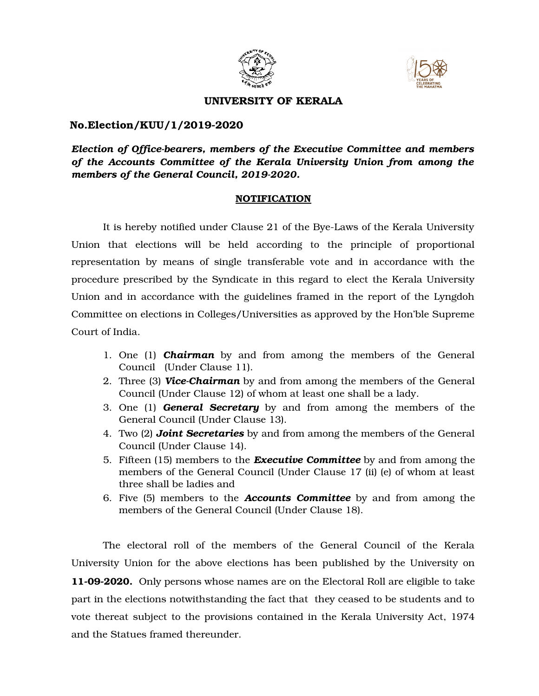



### **UNIVERSITY OF KERALA**

## **No.Election/KUU/1/20192020**

*Election of Officebearers, members of the Executive Committee and members of the Accounts Committee of the Kerala University Union from among the* members of the General Council, 2019-2020.

#### **NOTIFICATION**

It is hereby notified under Clause 21 of the Bye-Laws of the Kerala University Union that elections will be held according to the principle of proportional representation by means of single transferable vote and in accordance with the procedure prescribed by the Syndicate in this regard to elect the Kerala University Union and in accordance with the guidelines framed in the report of the Lyngdoh Committee on elections in Colleges/Universities as approved by the Hon'ble Supreme Court of India.

- 1. One (1) **Chairman** by and from among the members of the General Council (Under Clause 11).
- 2. Three (3) *ViceChairman* by and from among the members of the General Council (Under Clause 12) of whom at least one shall be a lady.
- 3. One (1) *General Secretary* by and from among the members of the General Council (Under Clause 13).
- 4. Two (2) *Joint Secretaries* by and from among the members of the General Council (Under Clause 14).
- 5. Fifteen (15) members to the *Executive Committee* by and from among the members of the General Council (Under Clause 17 (ii) (e) of whom at least three shall be ladies and
- 6. Five (5) members to the *Accounts Committee* by and from among the members of the General Council (Under Clause 18).

The electoral roll of the members of the General Council of the Kerala University Union for the above elections has been published by the University on **11092020.** Only persons whose names are on the Electoral Roll are eligible to take part in the elections notwithstanding the fact that they ceased to be students and to vote thereat subject to the provisions contained in the Kerala University Act, 1974 and the Statues framed thereunder.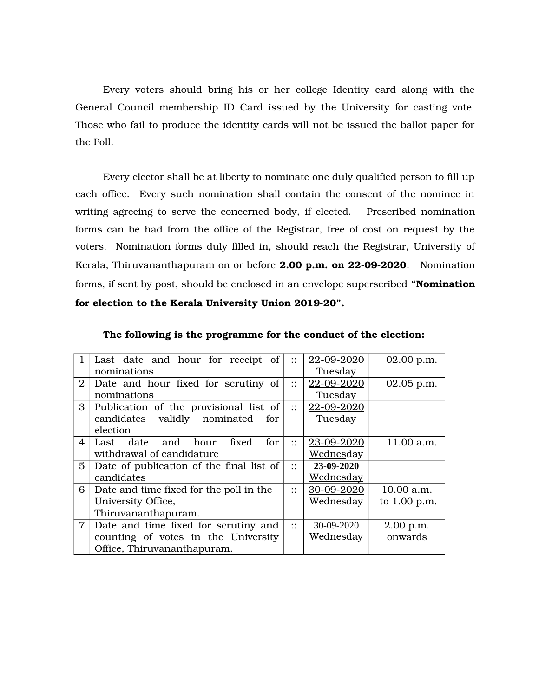Every voters should bring his or her college Identity card along with the General Council membership ID Card issued by the University for casting vote. Those who fail to produce the identity cards will not be issued the ballot paper for the Poll.

Every elector shall be at liberty to nominate one duly qualified person to fill up each office. Every such nomination shall contain the consent of the nominee in writing agreeing to serve the concerned body, if elected. Prescribed nomination forms can be had from the office of the Registrar, free of cost on request by the voters. Nomination forms duly filled in, should reach the Registrar, University of Kerala, Thiruvananthapuram on or before **2.00 p.m. on 22-09-2020**. Nomination forms, if sent by post, should be enclosed in an envelope superscribed **"Nomination for election to the Kerala University Union 201920".**

| $\mathbf{1}$   | Last date and hour for receipt of        | $\vdots$                                   | 22-09-2020        | 02.00 p.m.     |
|----------------|------------------------------------------|--------------------------------------------|-------------------|----------------|
|                | nominations                              |                                            | Tuesday           |                |
| $\overline{2}$ | Date and hour fixed for scrutiny of      | $\ddot{\phantom{0}}$<br>$\cdot$ .          | 22-09-2020        | 02.05 p.m.     |
|                | nominations                              |                                            | Tuesday           |                |
| 3              | Publication of the provisional list of   | $\mathbf{::}$                              | 22-09-2020        |                |
|                | candidates validly nominated<br>for      |                                            | Tuesday           |                |
|                | election                                 |                                            |                   |                |
| $\overline{4}$ | fixed<br>for.<br>date and hour<br>Last   | $\ddot{\phantom{0}}$<br>$\cdot$ .          | 23-09-2020        | 11.00 a.m.     |
|                | withdrawal of candidature                |                                            | <u>Wednes</u> day |                |
| 5              | Date of publication of the final list of | $\vdots$                                   | 23-09-2020        |                |
|                | candidates                               |                                            | Wednesday         |                |
| 6              | Date and time fixed for the poll in the  | $\ddot{\phantom{0}}$<br>$\cdot$ .          | 30-09-2020        | 10.00 a.m.     |
|                | University Office,                       |                                            | Wednesday         | to $1.00$ p.m. |
|                | Thiruvananthapuram.                      |                                            |                   |                |
| $\overline{7}$ | Date and time fixed for scrutiny and     | $\bullet\,\bullet$<br>$\ddot{\phantom{0}}$ | 30-09-2020        | 2.00 p.m.      |
|                | counting of votes in the University      |                                            | <u>Wednesday</u>  | onwards        |
|                | Office, Thiruvananthapuram.              |                                            |                   |                |

**The following is the programme for the conduct of the election:**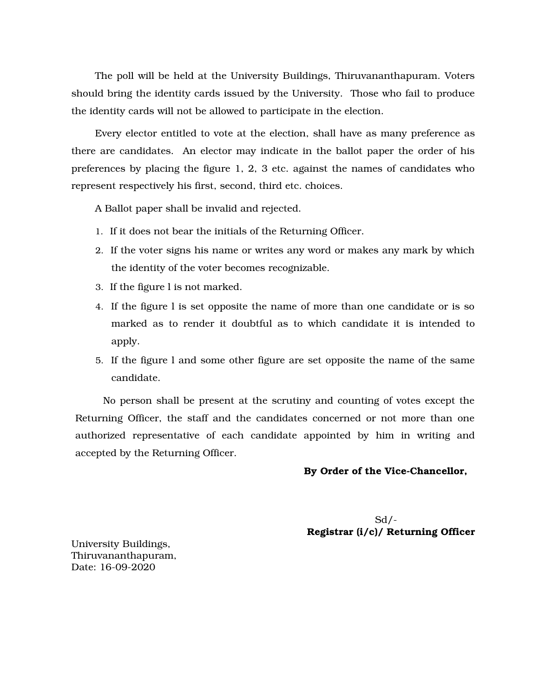The poll will be held at the University Buildings, Thiruvananthapuram. Voters should bring the identity cards issued by the University. Those who fail to produce the identity cards will not be allowed to participate in the election.

Every elector entitled to vote at the election, shall have as many preference as there are candidates. An elector may indicate in the ballot paper the order of his preferences by placing the figure 1, 2, 3 etc. against the names of candidates who represent respectively his first, second, third etc. choices.

A Ballot paper shall be invalid and rejected.

- 1. If it does not bear the initials of the Returning Officer.
- 2. If the voter signs his name or writes any word or makes any mark by which the identity of the voter becomes recognizable.
- 3. If the figure l is not marked.
- 4. If the figure l is set opposite the name of more than one candidate or is so marked as to render it doubtful as to which candidate it is intended to apply.
- 5. If the figure l and some other figure are set opposite the name of the same candidate.

No person shall be present at the scrutiny and counting of votes except the Returning Officer, the staff and the candidates concerned or not more than one authorized representative of each candidate appointed by him in writing and accepted by the Returning Officer.

#### By Order of the Vice-Chancellor,

 $Sd$  /-**Registrar (i/c)/ Returning Officer**

University Buildings, Thiruvananthapuram, Date: 16-09-2020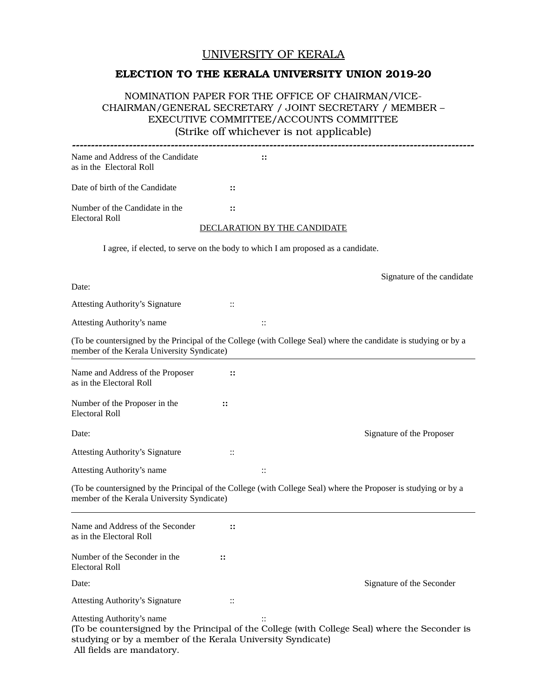## UNIVERSITY OF KERALA

## **ELECTION TO THE KERALA UNIVERSITY UNION 2019-20**

### NOMINATION PAPER FOR THE OFFICE OF CHAIRMAN/VICE-CHAIRMAN/GENERAL SECRETARY / JOINT SECRETARY / MEMBER – EXECUTIVE COMMITTEE/ACCOUNTS COMMITTEE (Strike off whichever is not applicable)

| Name and Address of the Candidate<br>as in the Electoral Roll                                                                                                 |               | ።                                                                                                                |  |  |  |  |
|---------------------------------------------------------------------------------------------------------------------------------------------------------------|---------------|------------------------------------------------------------------------------------------------------------------|--|--|--|--|
| Date of birth of the Candidate                                                                                                                                | $\vdots$      |                                                                                                                  |  |  |  |  |
| Number of the Candidate in the<br><b>Electoral Roll</b>                                                                                                       | $\mathbf{::}$ |                                                                                                                  |  |  |  |  |
|                                                                                                                                                               |               | DECLARATION BY THE CANDIDATE                                                                                     |  |  |  |  |
|                                                                                                                                                               |               | I agree, if elected, to serve on the body to which I am proposed as a candidate.                                 |  |  |  |  |
| Date:                                                                                                                                                         |               | Signature of the candidate                                                                                       |  |  |  |  |
| <b>Attesting Authority's Signature</b>                                                                                                                        | $\vdots$      |                                                                                                                  |  |  |  |  |
| <b>Attesting Authority's name</b>                                                                                                                             |               | ::                                                                                                               |  |  |  |  |
| member of the Kerala University Syndicate)                                                                                                                    |               | (To be countersigned by the Principal of the College (with College Seal) where the candidate is studying or by a |  |  |  |  |
| Name and Address of the Proposer<br>as in the Electoral Roll                                                                                                  | $\vdots$      |                                                                                                                  |  |  |  |  |
| Number of the Proposer in the<br><b>Electoral Roll</b>                                                                                                        | $\vdots$      |                                                                                                                  |  |  |  |  |
| Date:                                                                                                                                                         |               | Signature of the Proposer                                                                                        |  |  |  |  |
| <b>Attesting Authority's Signature</b>                                                                                                                        | ::            |                                                                                                                  |  |  |  |  |
| <b>Attesting Authority's name</b>                                                                                                                             |               | $\vdots$                                                                                                         |  |  |  |  |
| (To be countersigned by the Principal of the College (with College Seal) where the Proposer is studying or by a<br>member of the Kerala University Syndicate) |               |                                                                                                                  |  |  |  |  |
| Name and Address of the Seconder<br>as in the Electoral Roll                                                                                                  | $\vdots$      |                                                                                                                  |  |  |  |  |
| Number of the Seconder in the<br><b>Electoral Roll</b>                                                                                                        | $\vdots$      |                                                                                                                  |  |  |  |  |
| Date:                                                                                                                                                         |               | Signature of the Seconder                                                                                        |  |  |  |  |
| <b>Attesting Authority's Signature</b>                                                                                                                        | ::            |                                                                                                                  |  |  |  |  |
| <b>Attesting Authority's name</b><br>studying or by a member of the Kerala University Syndicate)<br>All fields are mandatory.                                 |               | $\vdots$<br>(To be countersigned by the Principal of the College (with College Seal) where the Seconder is       |  |  |  |  |